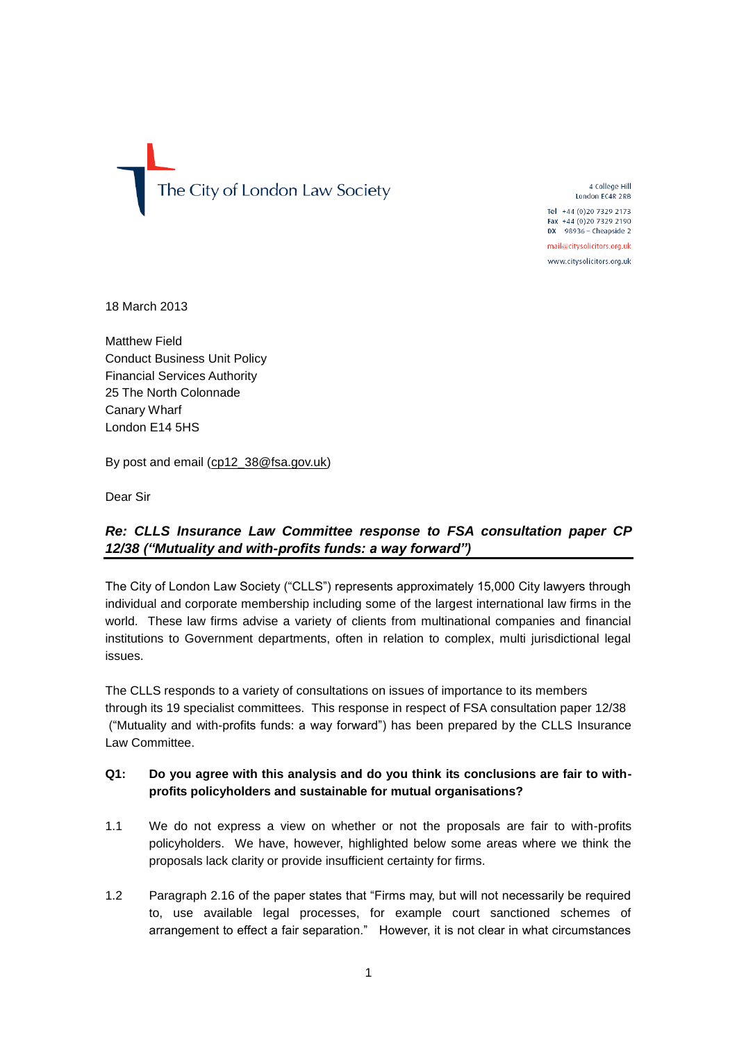The City of London Law Society

4 College Hill London EC4R 2RB Tel +44 (0) 20 7329 2173 Fax +44 (0)20 7329 2190  $DX$  98936 - Cheapside 2

mail@citysolicitors.org.uk

www.citysolicitors.org.uk

18 March 2013

Matthew Field Conduct Business Unit Policy Financial Services Authority 25 The North Colonnade Canary Wharf London E14 5HS

By post and email [\(cp12\\_38@fsa.gov.uk\)](mailto:cp12_38@fsa.gov.uk)

Dear Sir

# *Re: CLLS Insurance Law Committee response to FSA consultation paper CP 12/38 ("Mutuality and with-profits funds: a way forward")*

The City of London Law Society ("CLLS") represents approximately 15,000 City lawyers through individual and corporate membership including some of the largest international law firms in the world. These law firms advise a variety of clients from multinational companies and financial institutions to Government departments, often in relation to complex, multi jurisdictional legal issues.

The CLLS responds to a variety of consultations on issues of importance to its members through its 19 specialist committees. This response in respect of FSA consultation paper 12/38 ("Mutuality and with-profits funds: a way forward") has been prepared by the CLLS Insurance Law Committee.

## **Q1: Do you agree with this analysis and do you think its conclusions are fair to withprofits policyholders and sustainable for mutual organisations?**

- 1.1 We do not express a view on whether or not the proposals are fair to with-profits policyholders. We have, however, highlighted below some areas where we think the proposals lack clarity or provide insufficient certainty for firms.
- 1.2 Paragraph 2.16 of the paper states that "Firms may, but will not necessarily be required to, use available legal processes, for example court sanctioned schemes of arrangement to effect a fair separation." However, it is not clear in what circumstances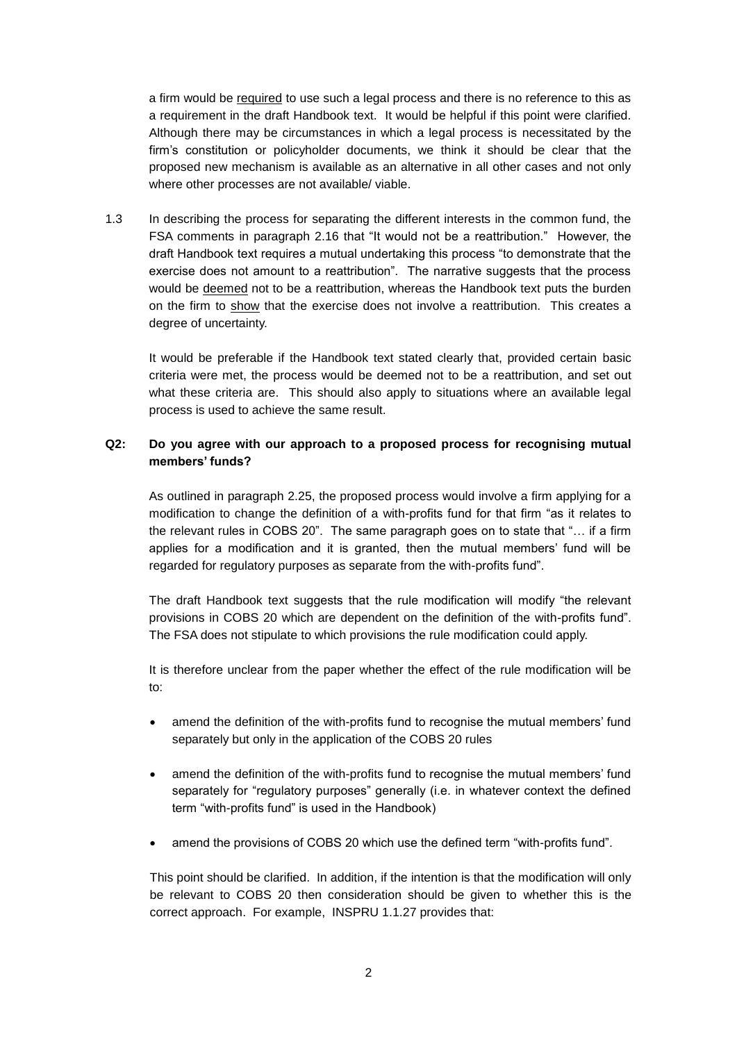a firm would be required to use such a legal process and there is no reference to this as a requirement in the draft Handbook text. It would be helpful if this point were clarified. Although there may be circumstances in which a legal process is necessitated by the firm's constitution or policyholder documents, we think it should be clear that the proposed new mechanism is available as an alternative in all other cases and not only where other processes are not available/ viable.

1.3 In describing the process for separating the different interests in the common fund, the FSA comments in paragraph 2.16 that "It would not be a reattribution." However, the draft Handbook text requires a mutual undertaking this process "to demonstrate that the exercise does not amount to a reattribution". The narrative suggests that the process would be deemed not to be a reattribution, whereas the Handbook text puts the burden on the firm to show that the exercise does not involve a reattribution. This creates a degree of uncertainty.

It would be preferable if the Handbook text stated clearly that, provided certain basic criteria were met, the process would be deemed not to be a reattribution, and set out what these criteria are. This should also apply to situations where an available legal process is used to achieve the same result.

## **Q2: Do you agree with our approach to a proposed process for recognising mutual members' funds?**

As outlined in paragraph 2.25, the proposed process would involve a firm applying for a modification to change the definition of a with-profits fund for that firm "as it relates to the relevant rules in COBS 20". The same paragraph goes on to state that "… if a firm applies for a modification and it is granted, then the mutual members' fund will be regarded for regulatory purposes as separate from the with-profits fund".

The draft Handbook text suggests that the rule modification will modify "the relevant provisions in COBS 20 which are dependent on the definition of the with-profits fund". The FSA does not stipulate to which provisions the rule modification could apply.

It is therefore unclear from the paper whether the effect of the rule modification will be to:

- amend the definition of the with-profits fund to recognise the mutual members' fund separately but only in the application of the COBS 20 rules
- amend the definition of the with-profits fund to recognise the mutual members' fund separately for "regulatory purposes" generally (i.e. in whatever context the defined term "with-profits fund" is used in the Handbook)
- amend the provisions of COBS 20 which use the defined term "with-profits fund".

This point should be clarified. In addition, if the intention is that the modification will only be relevant to COBS 20 then consideration should be given to whether this is the correct approach. For example, INSPRU 1.1.27 provides that: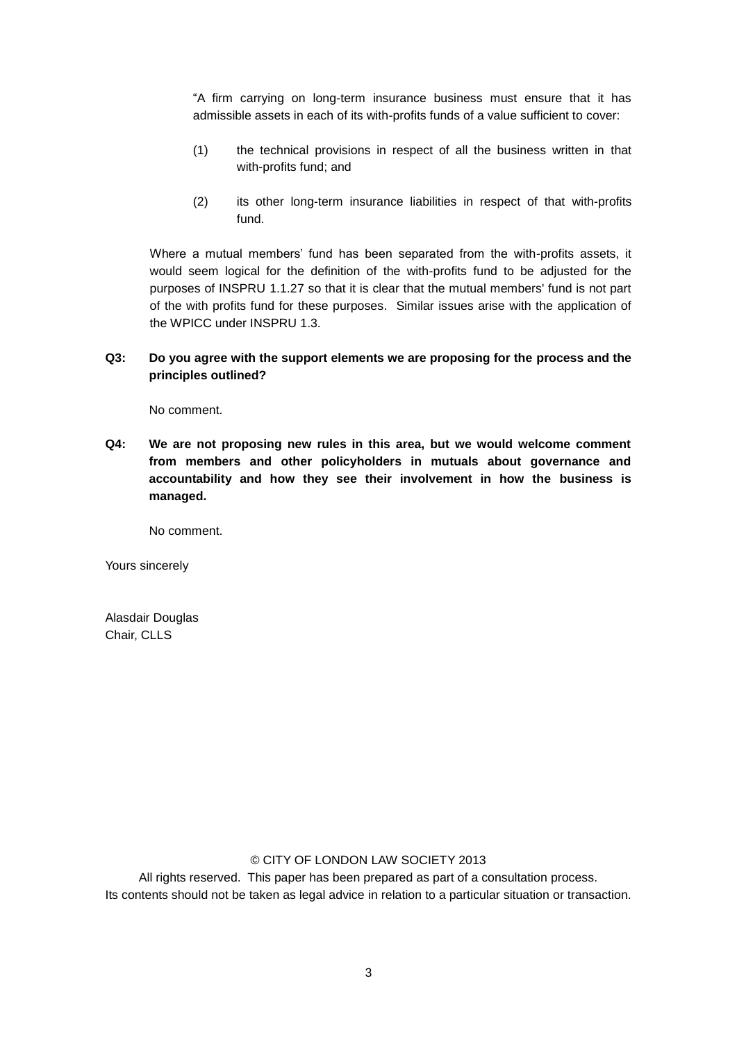"A firm carrying on long-term insurance business must ensure that it has admissible assets in each of its with-profits funds of a value sufficient to cover:

- (1) the technical provisions in respect of all the business written in that with-profits fund; and
- (2) its other long-term insurance liabilities in respect of that with-profits fund.

Where a mutual members' fund has been separated from the with-profits assets, it would seem logical for the definition of the with-profits fund to be adjusted for the purposes of INSPRU 1.1.27 so that it is clear that the mutual members' fund is not part of the with profits fund for these purposes. Similar issues arise with the application of the WPICC under INSPRU 1.3.

## **Q3: Do you agree with the support elements we are proposing for the process and the principles outlined?**

No comment.

**Q4: We are not proposing new rules in this area, but we would welcome comment from members and other policyholders in mutuals about governance and accountability and how they see their involvement in how the business is managed.**

No comment.

Yours sincerely

Alasdair Douglas Chair, CLLS

## © CITY OF LONDON LAW SOCIETY 2013

All rights reserved. This paper has been prepared as part of a consultation process. Its contents should not be taken as legal advice in relation to a particular situation or transaction.